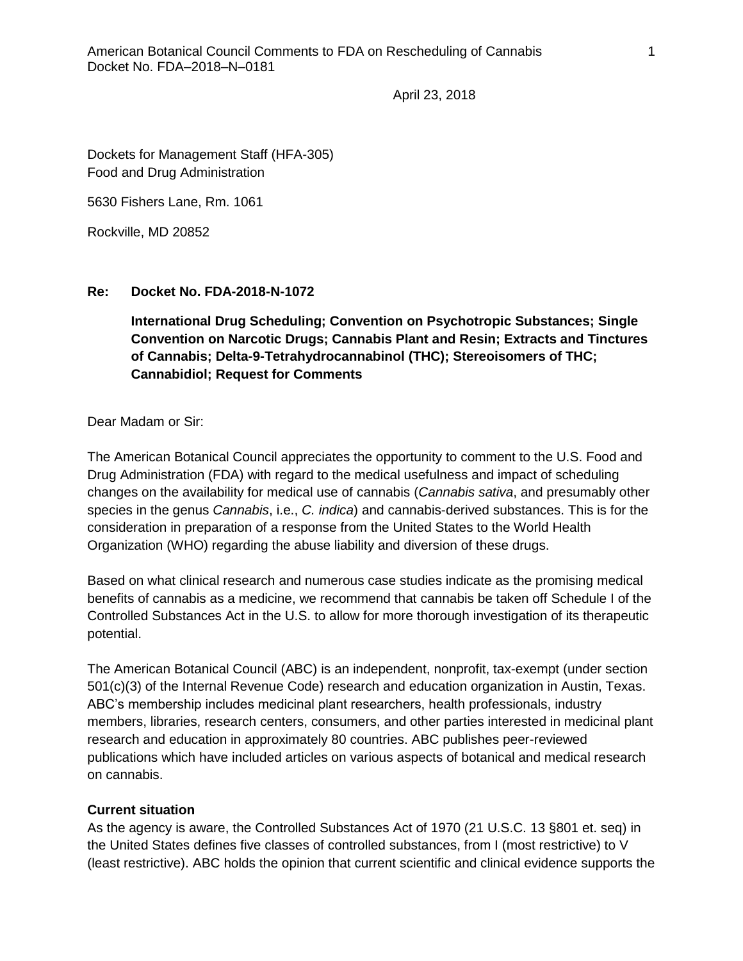April 23, 2018

Dockets for Management Staff (HFA-305) Food and Drug Administration

5630 Fishers Lane, Rm. 1061

Rockville, MD 20852

## **Re: Docket No. FDA-2018-N-1072**

**International Drug Scheduling; Convention on Psychotropic Substances; Single Convention on Narcotic Drugs; Cannabis Plant and Resin; Extracts and Tinctures of Cannabis; Delta-9-Tetrahydrocannabinol (THC); Stereoisomers of THC; Cannabidiol; Request for Comments**

Dear Madam or Sir:

The American Botanical Council appreciates the opportunity to comment to the U.S. Food and Drug Administration (FDA) with regard to the medical usefulness and impact of scheduling changes on the availability for medical use of cannabis (*Cannabis sativa*, and presumably other species in the genus *Cannabis*, i.e., *C. indica*) and cannabis-derived substances. This is for the consideration in preparation of a response from the United States to the World Health Organization (WHO) regarding the abuse liability and diversion of these drugs.

Based on what clinical research and numerous case studies indicate as the promising medical benefits of cannabis as a medicine, we recommend that cannabis be taken off Schedule I of the Controlled Substances Act in the U.S. to allow for more thorough investigation of its therapeutic potential.

The American Botanical Council (ABC) is an independent, nonprofit, tax-exempt (under section 501(c)(3) of the Internal Revenue Code) research and education organization in Austin, Texas. ABC's membership includes medicinal plant researchers, health professionals, industry members, libraries, research centers, consumers, and other parties interested in medicinal plant research and education in approximately 80 countries. ABC publishes peer-reviewed publications which have included articles on various aspects of botanical and medical research on cannabis.

## **Current situation**

As the agency is aware, the Controlled Substances Act of 1970 (21 U.S.C. 13 §801 et. seq) in the United States defines five classes of controlled substances, from I (most restrictive) to V (least restrictive). ABC holds the opinion that current scientific and clinical evidence supports the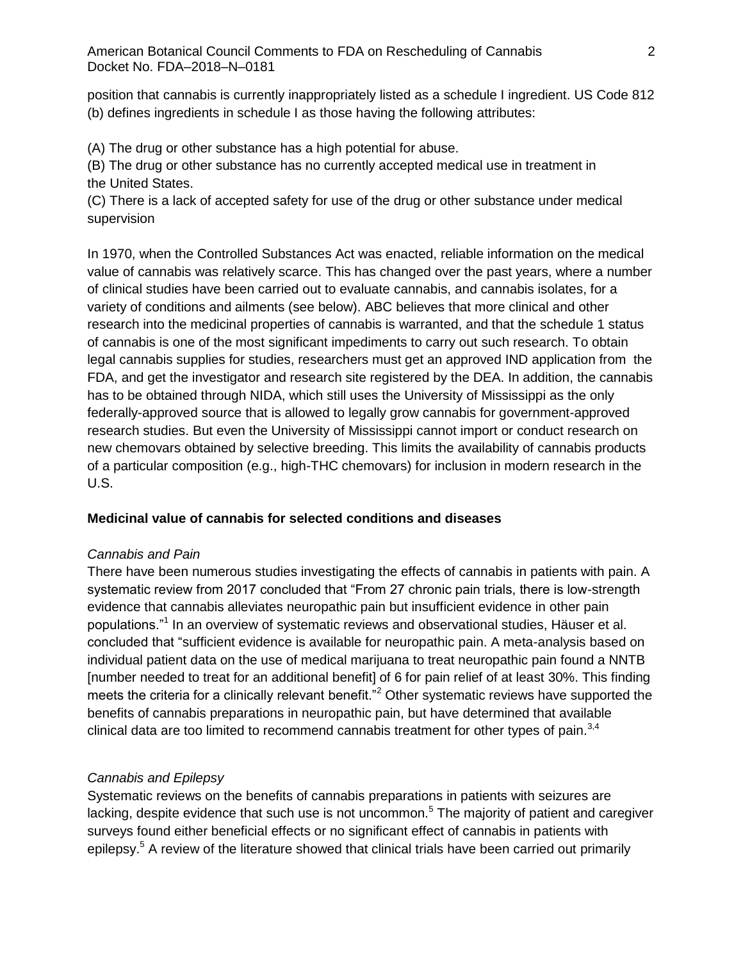position that cannabis is currently inappropriately listed as a schedule I ingredient. US Code 812 (b) defines ingredients in schedule I as those having the following attributes:

(A) The [drug](https://www.law.cornell.edu/definitions/uscode.php?width=840&height=800&iframe=true&def_id=21-USC-3092384-1668295558&term_occur=81&term_src=title:21:chapter:13:subchapter:I:part:B:section:812) or other substance has a high potential for abuse.

(B) The [drug](https://www.law.cornell.edu/definitions/uscode.php?width=840&height=800&iframe=true&def_id=21-USC-3092384-1668295558&term_occur=82&term_src=title:21:chapter:13:subchapter:I:part:B:section:812) or other substance has no currently accepted medical use in treatment in the [United States.](https://www.law.cornell.edu/definitions/uscode.php?width=840&height=800&iframe=true&def_id=21-USC-2032517217-1668295521&term_occur=51&term_src=title:21:chapter:13:subchapter:I:part:B:section:812)

(C) There is a lack of accepted safety for use of the [drug](https://www.law.cornell.edu/definitions/uscode.php?width=840&height=800&iframe=true&def_id=21-USC-3092384-1668295558&term_occur=83&term_src=title:21:chapter:13:subchapter:I:part:B:section:812) or other substance under medical supervision

In 1970, when the Controlled Substances Act was enacted, reliable information on the medical value of cannabis was relatively scarce. This has changed over the past years, where a number of clinical studies have been carried out to evaluate cannabis, and cannabis isolates, for a variety of conditions and ailments (see below). ABC believes that more clinical and other research into the medicinal properties of cannabis is warranted, and that the schedule 1 status of cannabis is one of the most significant impediments to carry out such research. To obtain legal cannabis supplies for studies, researchers [must get an approved IND application from](http://www.drugabuse.gov/drugs-abuse/marijuana/nidas-role-in-providing-marijuana-research) the FDA, and get the investigator and research site registered by the DEA. In addition, the cannabis has to be obtained through NIDA, which still uses the University of Mississippi as the only federally-approved source that is allowed to legally grow cannabis for government-approved research studies. But even the University of Mississippi cannot import or conduct research on new chemovars obtained by selective breeding. This limits the availability of cannabis products of a particular composition (e.g., high-THC chemovars) for inclusion in modern research in the U.S.

## **Medicinal value of cannabis for selected conditions and diseases**

## *Cannabis and Pain*

There have been numerous studies investigating the effects of cannabis in patients with pain. A systematic review from 2017 concluded that "From 27 chronic pain trials, there is low-strength evidence that cannabis alleviates neuropathic pain but insufficient evidence in other pain populations."<sup>1</sup> In an overview of systematic reviews and observational studies, Häuser et al. concluded that "sufficient evidence is available for neuropathic pain. A meta-analysis based on individual patient data on the use of medical marijuana to treat neuropathic pain found a NNTB [number needed to treat for an additional benefit] of 6 for pain relief of at least 30%. This finding meets the criteria for a clinically relevant benefit."<sup>2</sup> Other systematic reviews have supported the benefits of cannabis preparations in neuropathic pain, but have determined that available clinical data are too limited to recommend cannabis treatment for other types of pain. $3,4$ 

## *Cannabis and Epilepsy*

Systematic reviews on the benefits of cannabis preparations in patients with seizures are lacking, despite evidence that such use is not uncommon.<sup>5</sup> The majority of patient and caregiver surveys found either beneficial effects or no significant effect of cannabis in patients with epilepsy.<sup>5</sup> A review of the literature showed that clinical trials have been carried out primarily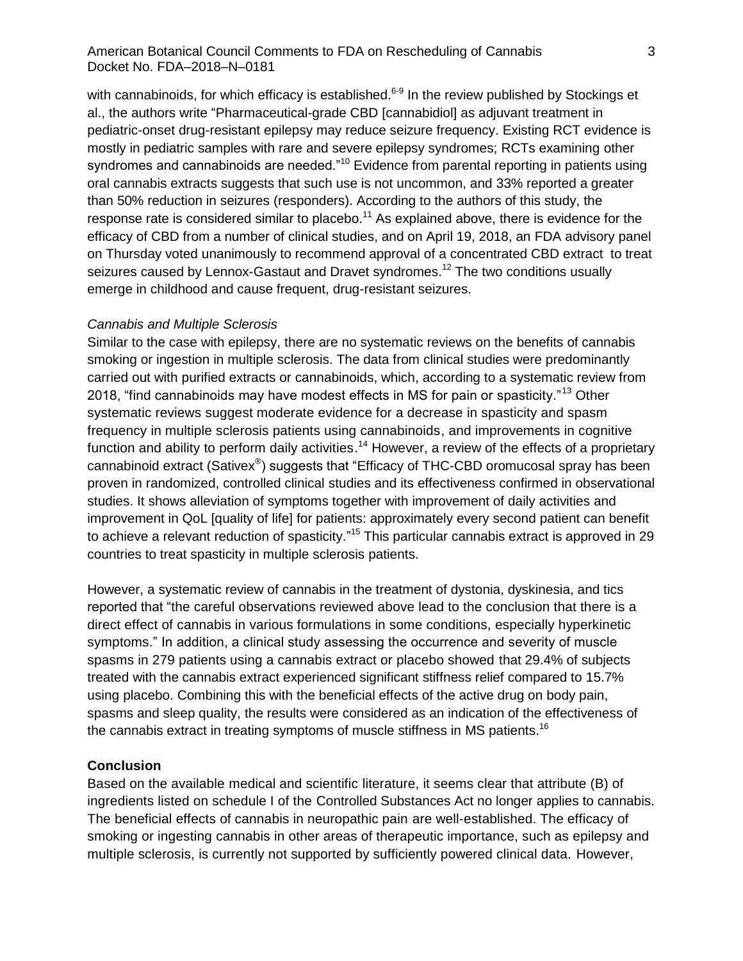#### American Botanical Council Comments to FDA on Rescheduling of Cannabis Docket No. FDA–2018–N–0181

with cannabinoids, for which efficacy is established.<sup>6-9</sup> In the review published by Stockings et al., the authors write "Pharmaceutical-grade CBD [cannabidiol] as adjuvant treatment in pediatric-onset drug-resistant epilepsy may reduce seizure frequency. Existing RCT evidence is mostly in pediatric samples with rare and severe epilepsy syndromes; RCTs examining other syndromes and cannabinoids are needed."<sup>10</sup> Evidence from parental reporting in patients using oral cannabis extracts suggests that such use is not uncommon, and 33% reported a greater than 50% reduction in seizures (responders). According to the authors of this study, the response rate is considered similar to placebo.<sup>11</sup> As explained above, there is evidence for the efficacy of CBD from a number of clinical studies, and on April 19, 2018, an FDA advisory panel on Thursday voted unanimously to recommend approval of a concentrated CBD extract to treat seizures caused by Lennox-Gastaut and Dravet syndromes.<sup>12</sup> The two conditions usually emerge in childhood and cause frequent, drug-resistant seizures.

#### *Cannabis and Multiple Sclerosis*

Similar to the case with epilepsy, there are no systematic reviews on the benefits of cannabis smoking or ingestion in multiple sclerosis. The data from clinical studies were predominantly carried out with purified extracts or cannabinoids, which, according to a systematic review from 2018, "find cannabinoids may have modest effects in MS for pain or spasticity."<sup>13</sup> Other systematic reviews suggest moderate evidence for a decrease in spasticity and spasm frequency in multiple sclerosis patients using cannabinoids, and improvements in cognitive function and ability to perform daily activities.<sup>14</sup> However, a review of the effects of a proprietary cannabinoid extract (Sativex®) suggests that "Efficacy of THC-CBD oromucosal spray has been proven in randomized, controlled clinical studies and its effectiveness confirmed in observational studies. It shows alleviation of symptoms together with improvement of daily activities and improvement in QoL [quality of life] for patients: approximately every second patient can benefit to achieve a relevant reduction of spasticity."<sup>15</sup> This particular cannabis extract is approved in 29 countries to treat spasticity in multiple sclerosis patients.

However, a systematic review of cannabis in the treatment of dystonia, dyskinesia, and tics reported that "the careful observations reviewed above lead to the conclusion that there is a direct effect of cannabis in various formulations in some conditions, especially hyperkinetic symptoms." In addition, a clinical study assessing the occurrence and severity of muscle spasms in 279 patients using a cannabis extract or placebo showed that 29.4% of subjects treated with the cannabis extract experienced significant stiffness relief compared to 15.7% using placebo. Combining this with the beneficial effects of the active drug on body pain, spasms and sleep quality, the results were considered as an indication of the effectiveness of the cannabis extract in treating symptoms of muscle stiffness in MS patients.<sup>16</sup>

#### **Conclusion**

Based on the available medical and scientific literature, it seems clear that attribute (B) of ingredients listed on schedule I of the Controlled Substances Act no longer applies to cannabis. The beneficial effects of cannabis in neuropathic pain are well-established. The efficacy of smoking or ingesting cannabis in other areas of therapeutic importance, such as epilepsy and multiple sclerosis, is currently not supported by sufficiently powered clinical data. However,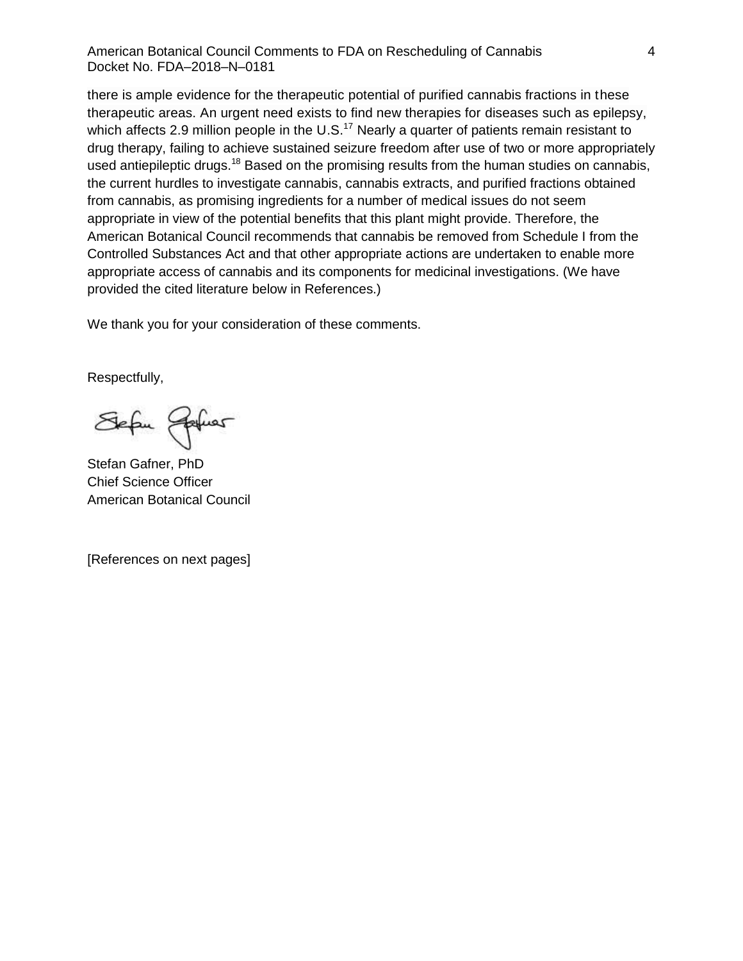American Botanical Council Comments to FDA on Rescheduling of Cannabis Docket No. FDA–2018–N–0181

there is ample evidence for the therapeutic potential of purified cannabis fractions in these therapeutic areas. An urgent need exists to find new therapies for diseases such as epilepsy, which affects 2.9 million people in the  $U.S.<sup>17</sup>$  Nearly a quarter of patients remain resistant to drug therapy, failing to achieve sustained seizure freedom after use of two or more appropriately used antiepileptic drugs.<sup>18</sup> Based on the promising results from the human studies on cannabis, the current hurdles to investigate cannabis, cannabis extracts, and purified fractions obtained from cannabis, as promising ingredients for a number of medical issues do not seem appropriate in view of the potential benefits that this plant might provide. Therefore, the American Botanical Council recommends that cannabis be removed from Schedule I from the Controlled Substances Act and that other appropriate actions are undertaken to enable more appropriate access of cannabis and its components for medicinal investigations. (We have provided the cited literature below in References.)

We thank you for your consideration of these comments.

Respectfully,

Sefu Johns

Stefan Gafner, PhD Chief Science Officer American Botanical Council

[References on next pages]